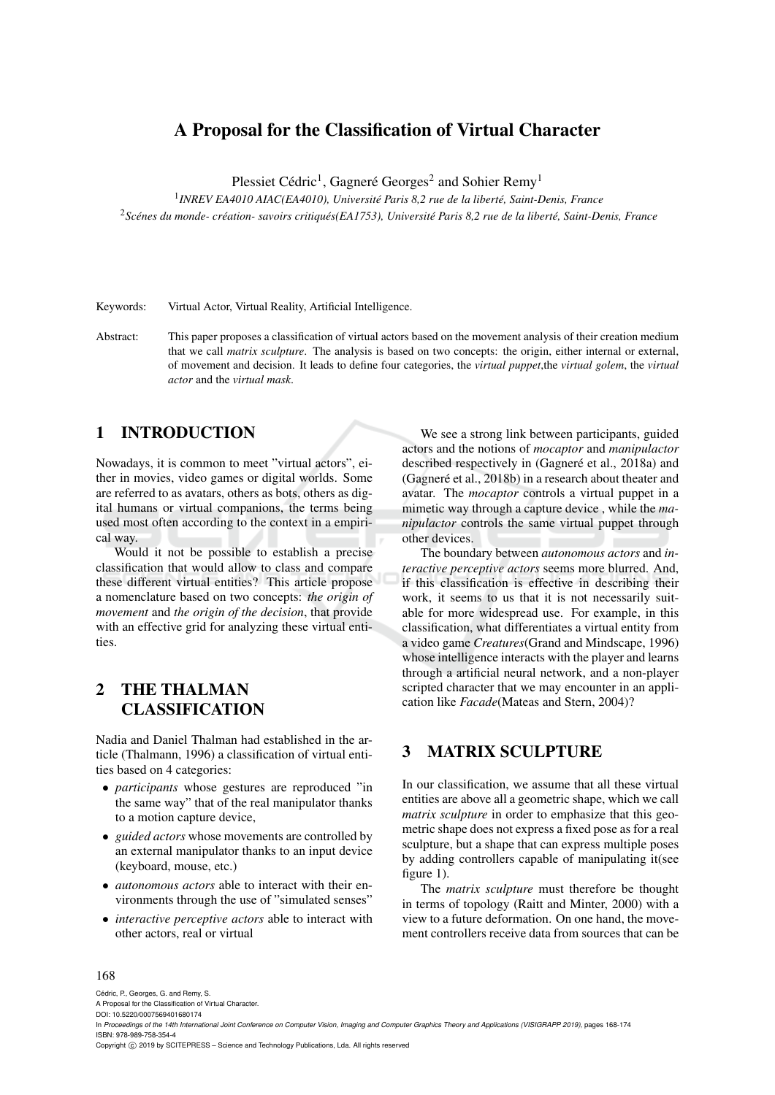# A Proposal for the Classification of Virtual Character

Plessiet Cédric<sup>1</sup>, Gagneré Georges<sup>2</sup> and Sohier Remy<sup>1</sup>

<sup>1</sup> INREV EA4010 AIAC(EA4010), Université Paris 8,2 rue de la liberté, Saint-Denis, France <sup>2</sup>*Scenes du monde- cr ´ eation- savoirs critiqu ´ es(EA1753), Universit ´ e Paris 8,2 rue de la libert ´ e, Saint-Denis, France ´*

Keywords: Virtual Actor, Virtual Reality, Artificial Intelligence.

Abstract: This paper proposes a classification of virtual actors based on the movement analysis of their creation medium that we call *matrix sculpture*. The analysis is based on two concepts: the origin, either internal or external, of movement and decision. It leads to define four categories, the *virtual puppet*,the *virtual golem*, the *virtual actor* and the *virtual mask*.

## 1 INTRODUCTION

Nowadays, it is common to meet "virtual actors", either in movies, video games or digital worlds. Some are referred to as avatars, others as bots, others as digital humans or virtual companions, the terms being used most often according to the context in a empirical way.

Would it not be possible to establish a precise classification that would allow to class and compare these different virtual entities? This article propose a nomenclature based on two concepts: *the origin of movement* and *the origin of the decision*, that provide with an effective grid for analyzing these virtual entities.

# 2 THE THALMAN CLASSIFICATION

Nadia and Daniel Thalman had established in the article (Thalmann, 1996) a classification of virtual entities based on 4 categories:

- *participants* whose gestures are reproduced "in the same way" that of the real manipulator thanks to a motion capture device,
- *guided actors* whose movements are controlled by an external manipulator thanks to an input device (keyboard, mouse, etc.)
- *autonomous actors* able to interact with their environments through the use of "simulated senses"
- *interactive perceptive actors* able to interact with other actors, real or virtual

We see a strong link between participants, guided actors and the notions of *mocaptor* and *manipulactor* described respectively in (Gagneré et al., 2018a) and  $(Ga)$ gneré et al., 2018b) in a research about theater and avatar. The *mocaptor* controls a virtual puppet in a mimetic way through a capture device , while the *manipulactor* controls the same virtual puppet through other devices.

The boundary between *autonomous actors* and *interactive perceptive actors* seems more blurred. And, if this classification is effective in describing their work, it seems to us that it is not necessarily suitable for more widespread use. For example, in this classification, what differentiates a virtual entity from a video game *Creatures*(Grand and Mindscape, 1996) whose intelligence interacts with the player and learns through a artificial neural network, and a non-player scripted character that we may encounter in an application like *Facade*(Mateas and Stern, 2004)?

# 3 MATRIX SCULPTURE

In our classification, we assume that all these virtual entities are above all a geometric shape, which we call *matrix sculpture* in order to emphasize that this geometric shape does not express a fixed pose as for a real sculpture, but a shape that can express multiple poses by adding controllers capable of manipulating it(see figure 1).

The *matrix sculpture* must therefore be thought in terms of topology (Raitt and Minter, 2000) with a view to a future deformation. On one hand, the movement controllers receive data from sources that can be

#### 168

Cédric, P., Georges, G. and Remy, S. A Proposal for the Classification of Virtual Character. DOI: 10.5220/0007569401680174

Copyright  $\odot$  2019 by SCITEPRESS - Science and Technology Publications, Lda. All rights reserved

In *Proceedings of the 14th International Joint Conference on Computer Vision, Imaging and Computer Graphics Theory and Applications (VISIGRAPP 2019)*, pages 168-174 ISBN: 978-989-758-354-4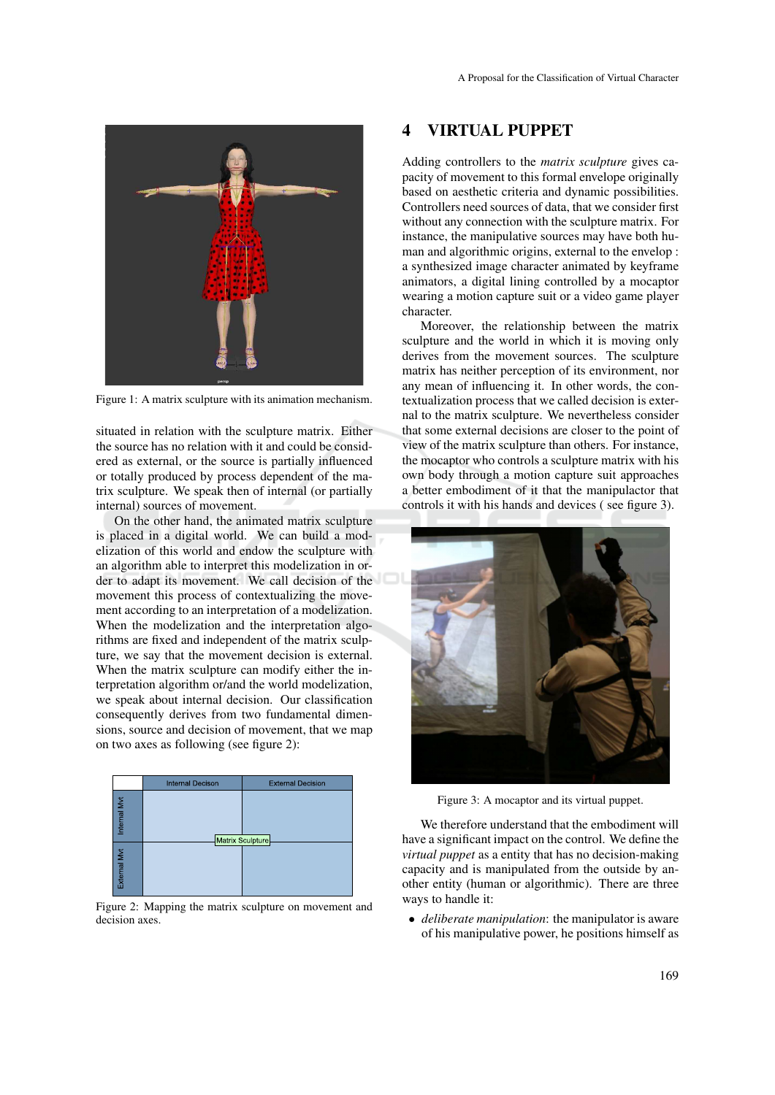

Figure 1: A matrix sculpture with its animation mechanism.

situated in relation with the sculpture matrix. Either the source has no relation with it and could be considered as external, or the source is partially influenced or totally produced by process dependent of the matrix sculpture. We speak then of internal (or partially internal) sources of movement.

On the other hand, the animated matrix sculpture is placed in a digital world. We can build a modelization of this world and endow the sculpture with an algorithm able to interpret this modelization in order to adapt its movement. We call decision of the movement this process of contextualizing the movement according to an interpretation of a modelization. When the modelization and the interpretation algorithms are fixed and independent of the matrix sculpture, we say that the movement decision is external. When the matrix sculpture can modify either the interpretation algorithm or/and the world modelization, we speak about internal decision. Our classification consequently derives from two fundamental dimensions, source and decision of movement, that we map on two axes as following (see figure 2):



Figure 2: Mapping the matrix sculpture on movement and decision axes

### 4 VIRTUAL PUPPET

Adding controllers to the *matrix sculpture* gives capacity of movement to this formal envelope originally based on aesthetic criteria and dynamic possibilities. Controllers need sources of data, that we consider first without any connection with the sculpture matrix. For instance, the manipulative sources may have both human and algorithmic origins, external to the envelop : a synthesized image character animated by keyframe animators, a digital lining controlled by a mocaptor wearing a motion capture suit or a video game player character.

Moreover, the relationship between the matrix sculpture and the world in which it is moving only derives from the movement sources. The sculpture matrix has neither perception of its environment, nor any mean of influencing it. In other words, the contextualization process that we called decision is external to the matrix sculpture. We nevertheless consider that some external decisions are closer to the point of view of the matrix sculpture than others. For instance, the mocaptor who controls a sculpture matrix with his own body through a motion capture suit approaches a better embodiment of it that the manipulactor that controls it with his hands and devices ( see figure 3).



Figure 3: A mocaptor and its virtual puppet.

We therefore understand that the embodiment will have a significant impact on the control. We define the *virtual puppet* as a entity that has no decision-making capacity and is manipulated from the outside by another entity (human or algorithmic). There are three ways to handle it:

• *deliberate manipulation*: the manipulator is aware of his manipulative power, he positions himself as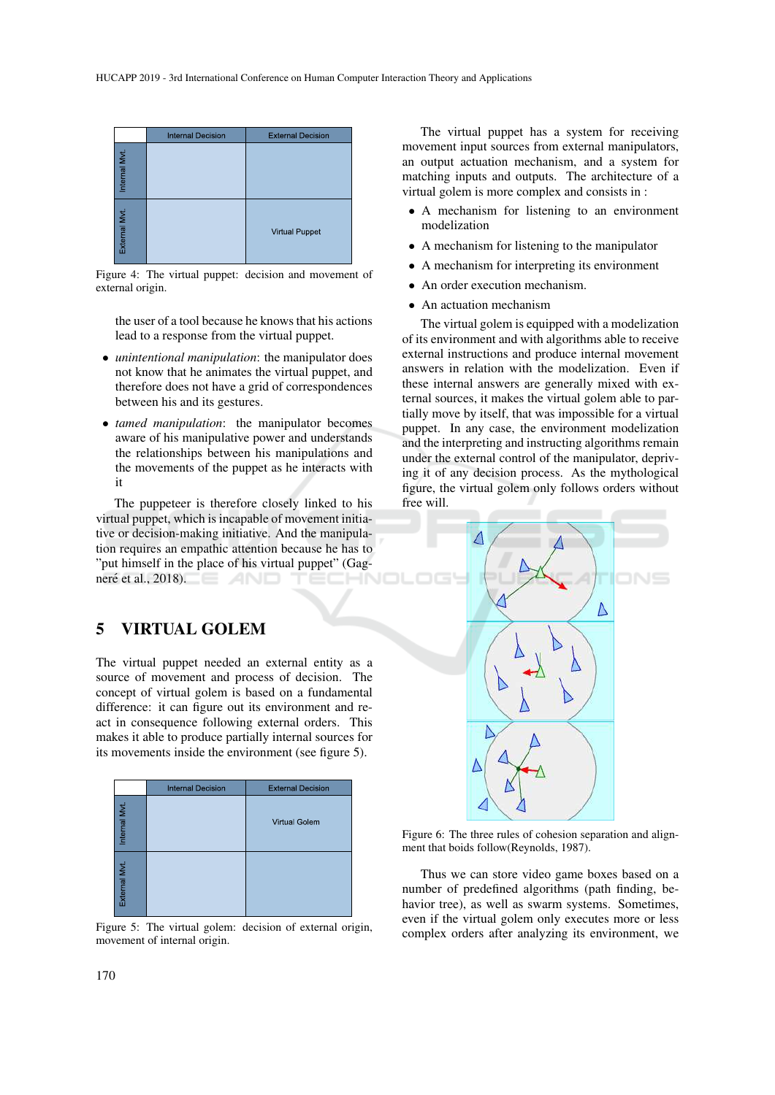|               | <b>Internal Decision</b> | <b>External Decision</b> |
|---------------|--------------------------|--------------------------|
| Internal Mvt  |                          |                          |
| External Mvt. |                          | <b>Virtual Puppet</b>    |

Figure 4: The virtual puppet: decision and movement of external origin.

the user of a tool because he knows that his actions lead to a response from the virtual puppet.

- *unintentional manipulation*: the manipulator does not know that he animates the virtual puppet, and therefore does not have a grid of correspondences between his and its gestures.
- *tamed manipulation*: the manipulator becomes aware of his manipulative power and understands the relationships between his manipulations and the movements of the puppet as he interacts with it

The puppeteer is therefore closely linked to his virtual puppet, which is incapable of movement initiative or decision-making initiative. And the manipulation requires an empathic attention because he has to "put himself in the place of his virtual puppet" (Gagneré et al., 2018).

The virtual puppet has a system for receiving movement input sources from external manipulators, an output actuation mechanism, and a system for matching inputs and outputs. The architecture of a virtual golem is more complex and consists in :

- A mechanism for listening to an environment modelization
- A mechanism for listening to the manipulator
- A mechanism for interpreting its environment
- An order execution mechanism.
- An actuation mechanism

The virtual golem is equipped with a modelization of its environment and with algorithms able to receive external instructions and produce internal movement answers in relation with the modelization. Even if these internal answers are generally mixed with external sources, it makes the virtual golem able to partially move by itself, that was impossible for a virtual puppet. In any case, the environment modelization and the interpreting and instructing algorithms remain under the external control of the manipulator, depriving it of any decision process. As the mythological figure, the virtual golem only follows orders without free will.



# 5 VIRTUAL GOLEM

The virtual puppet needed an external entity as a source of movement and process of decision. The concept of virtual golem is based on a fundamental difference: it can figure out its environment and react in consequence following external orders. This makes it able to produce partially internal sources for its movements inside the environment (see figure 5).

|              | <b>Internal Decision</b> | <b>External Decision</b> |
|--------------|--------------------------|--------------------------|
| Internal Mvt |                          | <b>Virtual Golem</b>     |
| External Mvt |                          |                          |

Figure 5: The virtual golem: decision of external origin, movement of internal origin.

Figure 6: The three rules of cohesion separation and alignment that boids follow(Reynolds, 1987).

Thus we can store video game boxes based on a number of predefined algorithms (path finding, behavior tree), as well as swarm systems. Sometimes, even if the virtual golem only executes more or less complex orders after analyzing its environment, we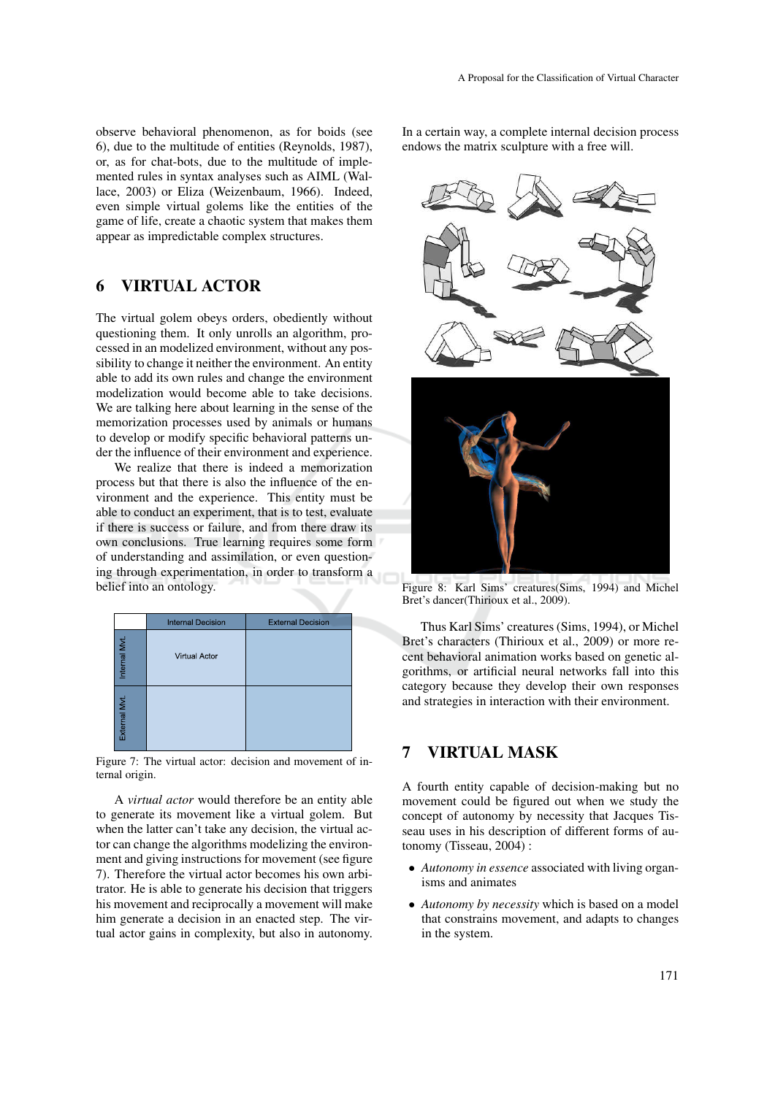observe behavioral phenomenon, as for boids (see 6), due to the multitude of entities (Reynolds, 1987), or, as for chat-bots, due to the multitude of implemented rules in syntax analyses such as AIML (Wallace, 2003) or Eliza (Weizenbaum, 1966). Indeed, even simple virtual golems like the entities of the game of life, create a chaotic system that makes them appear as impredictable complex structures.

# 6 VIRTUAL ACTOR

The virtual golem obeys orders, obediently without questioning them. It only unrolls an algorithm, processed in an modelized environment, without any possibility to change it neither the environment. An entity able to add its own rules and change the environment modelization would become able to take decisions. We are talking here about learning in the sense of the memorization processes used by animals or humans to develop or modify specific behavioral patterns under the influence of their environment and experience.

We realize that there is indeed a memorization process but that there is also the influence of the environment and the experience. This entity must be able to conduct an experiment, that is to test, evaluate if there is success or failure, and from there draw its own conclusions. True learning requires some form of understanding and assimilation, or even questioning through experimentation, in order to transform a belief into an ontology.

|              | <b>Internal Decision</b> | <b>External Decision</b> |
|--------------|--------------------------|--------------------------|
| Internal Mvt | Virtual Actor            |                          |
| External Mvt |                          |                          |

Figure 7: The virtual actor: decision and movement of internal origin.

A *virtual actor* would therefore be an entity able to generate its movement like a virtual golem. But when the latter can't take any decision, the virtual actor can change the algorithms modelizing the environment and giving instructions for movement (see figure 7). Therefore the virtual actor becomes his own arbitrator. He is able to generate his decision that triggers his movement and reciprocally a movement will make him generate a decision in an enacted step. The virtual actor gains in complexity, but also in autonomy.

In a certain way, a complete internal decision process endows the matrix sculpture with a free will.



Figure 8: Karl Sims' creatures(Sims, 1994) and Michel Bret's dancer(Thirioux et al., 2009).

Thus Karl Sims' creatures (Sims, 1994), or Michel Bret's characters (Thirioux et al., 2009) or more recent behavioral animation works based on genetic algorithms, or artificial neural networks fall into this category because they develop their own responses and strategies in interaction with their environment.

### 7 VIRTUAL MASK

A fourth entity capable of decision-making but no movement could be figured out when we study the concept of autonomy by necessity that Jacques Tisseau uses in his description of different forms of autonomy (Tisseau, 2004) :

- *Autonomy in essence* associated with living organisms and animates
- *Autonomy by necessity* which is based on a model that constrains movement, and adapts to changes in the system.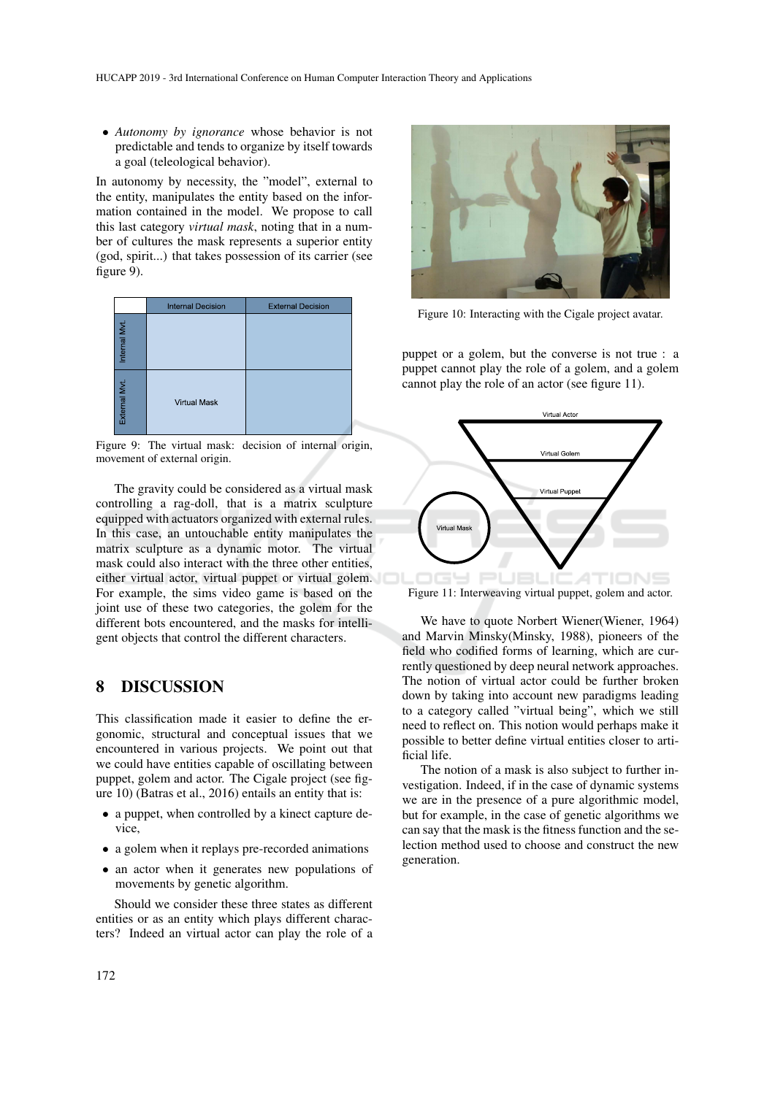• *Autonomy by ignorance* whose behavior is not predictable and tends to organize by itself towards a goal (teleological behavior).

In autonomy by necessity, the "model", external to the entity, manipulates the entity based on the information contained in the model. We propose to call this last category *virtual mask*, noting that in a number of cultures the mask represents a superior entity (god, spirit...) that takes possession of its carrier (see figure 9).



Figure 9: The virtual mask: decision of internal origin, movement of external origin.

The gravity could be considered as a virtual mask controlling a rag-doll, that is a matrix sculpture equipped with actuators organized with external rules. In this case, an untouchable entity manipulates the matrix sculpture as a dynamic motor. The virtual mask could also interact with the three other entities, either virtual actor, virtual puppet or virtual golem. For example, the sims video game is based on the joint use of these two categories, the golem for the different bots encountered, and the masks for intelligent objects that control the different characters.

#### 8 DISCUSSION

This classification made it easier to define the ergonomic, structural and conceptual issues that we encountered in various projects. We point out that we could have entities capable of oscillating between puppet, golem and actor. The Cigale project (see figure 10) (Batras et al., 2016) entails an entity that is:

- a puppet, when controlled by a kinect capture device,
- a golem when it replays pre-recorded animations
- an actor when it generates new populations of movements by genetic algorithm.

Should we consider these three states as different entities or as an entity which plays different characters? Indeed an virtual actor can play the role of a



Figure 10: Interacting with the Cigale project avatar.

puppet or a golem, but the converse is not true : a puppet cannot play the role of a golem, and a golem cannot play the role of an actor (see figure 11).



Figure 11: Interweaving virtual puppet, golem and actor.

We have to quote Norbert Wiener(Wiener, 1964) and Marvin Minsky(Minsky, 1988), pioneers of the field who codified forms of learning, which are currently questioned by deep neural network approaches. The notion of virtual actor could be further broken down by taking into account new paradigms leading to a category called "virtual being", which we still need to reflect on. This notion would perhaps make it possible to better define virtual entities closer to artificial life.

The notion of a mask is also subject to further investigation. Indeed, if in the case of dynamic systems we are in the presence of a pure algorithmic model, but for example, in the case of genetic algorithms we can say that the mask is the fitness function and the selection method used to choose and construct the new generation.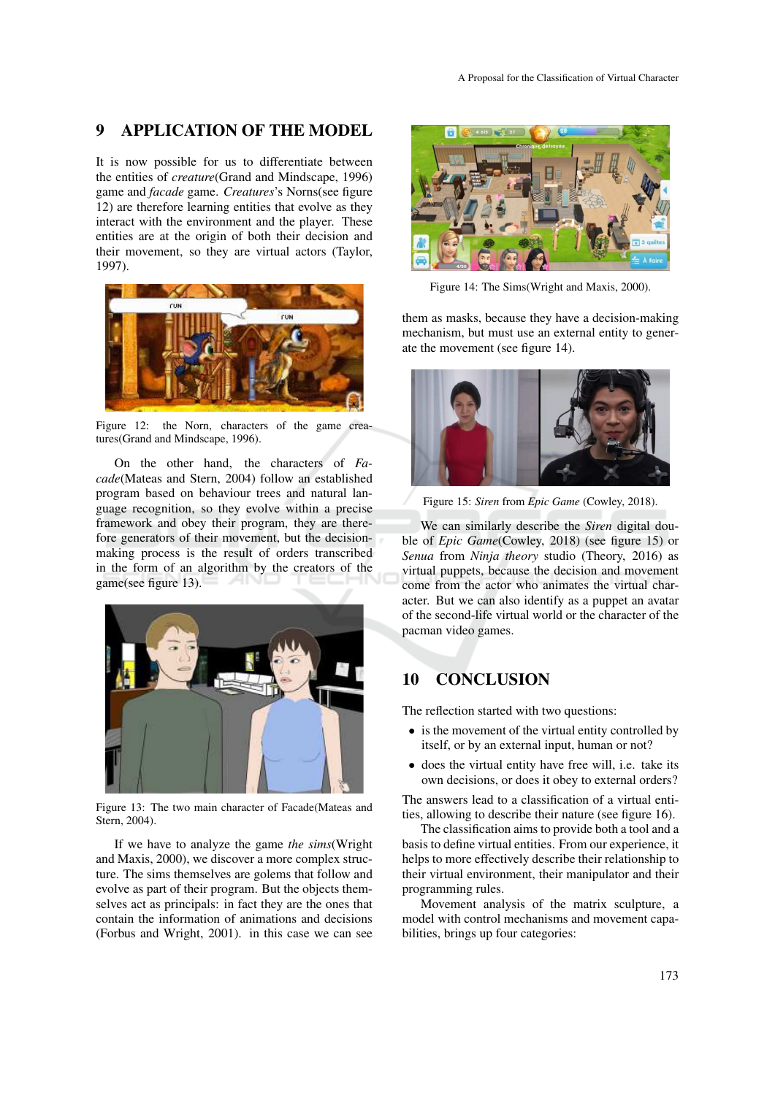### 9 APPLICATION OF THE MODEL

It is now possible for us to differentiate between the entities of *creature*(Grand and Mindscape, 1996) game and *facade* game. *Creatures*'s Norns(see figure 12) are therefore learning entities that evolve as they interact with the environment and the player. These entities are at the origin of both their decision and their movement, so they are virtual actors (Taylor, 1997).



Figure 12: the Norn, characters of the game creatures(Grand and Mindscape, 1996).

On the other hand, the characters of *Facade*(Mateas and Stern, 2004) follow an established program based on behaviour trees and natural language recognition, so they evolve within a precise framework and obey their program, they are therefore generators of their movement, but the decisionmaking process is the result of orders transcribed in the form of an algorithm by the creators of the game(see figure 13).



Figure 13: The two main character of Facade(Mateas and Stern, 2004).

If we have to analyze the game *the sims*(Wright and Maxis, 2000), we discover a more complex structure. The sims themselves are golems that follow and evolve as part of their program. But the objects themselves act as principals: in fact they are the ones that contain the information of animations and decisions (Forbus and Wright, 2001). in this case we can see



Figure 14: The Sims(Wright and Maxis, 2000).

them as masks, because they have a decision-making mechanism, but must use an external entity to generate the movement (see figure 14).



Figure 15: *Siren* from *Epic Game* (Cowley, 2018).

We can similarly describe the *Siren* digital double of *Epic Game*(Cowley, 2018) (see figure 15) or *Senua* from *Ninja theory* studio (Theory, 2016) as virtual puppets, because the decision and movement come from the actor who animates the virtual character. But we can also identify as a puppet an avatar of the second-life virtual world or the character of the pacman video games.

## 10 CONCLUSION

The reflection started with two questions:

- is the movement of the virtual entity controlled by itself, or by an external input, human or not?
- does the virtual entity have free will, i.e. take its own decisions, or does it obey to external orders?

The answers lead to a classification of a virtual entities, allowing to describe their nature (see figure 16).

The classification aims to provide both a tool and a basis to define virtual entities. From our experience, it helps to more effectively describe their relationship to their virtual environment, their manipulator and their programming rules.

Movement analysis of the matrix sculpture, a model with control mechanisms and movement capabilities, brings up four categories: